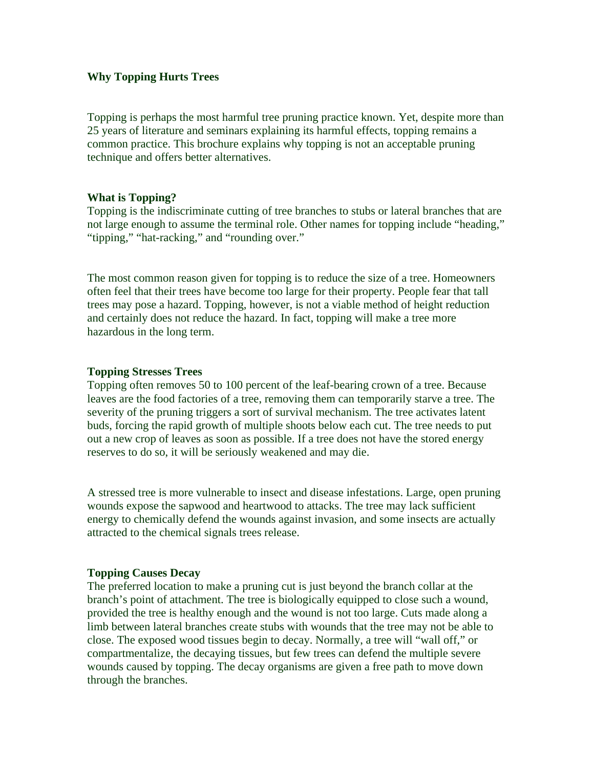## **Why Topping Hurts Trees**

Topping is perhaps the most harmful tree pruning practice known. Yet, despite more than 25 years of literature and seminars explaining its harmful effects, topping remains a common practice. This brochure explains why topping is not an acceptable pruning technique and offers better alternatives.

#### **What is Topping?**

Topping is the indiscriminate cutting of tree branches to stubs or lateral branches that are not large enough to assume the terminal role. Other names for topping include "heading," "tipping," "hat-racking," and "rounding over."

The most common reason given for topping is to reduce the size of a tree. Homeowners often feel that their trees have become too large for their property. People fear that tall trees may pose a hazard. Topping, however, is not a viable method of height reduction and certainly does not reduce the hazard. In fact, topping will make a tree more hazardous in the long term.

#### **Topping Stresses Trees**

Topping often removes 50 to 100 percent of the leaf-bearing crown of a tree. Because leaves are the food factories of a tree, removing them can temporarily starve a tree. The severity of the pruning triggers a sort of survival mechanism. The tree activates latent buds, forcing the rapid growth of multiple shoots below each cut. The tree needs to put out a new crop of leaves as soon as possible. If a tree does not have the stored energy reserves to do so, it will be seriously weakened and may die.

A stressed tree is more vulnerable to insect and disease infestations. Large, open pruning wounds expose the sapwood and heartwood to attacks. The tree may lack sufficient energy to chemically defend the wounds against invasion, and some insects are actually attracted to the chemical signals trees release.

# **Topping Causes Decay**

The preferred location to make a pruning cut is just beyond the branch collar at the branch's point of attachment. The tree is biologically equipped to close such a wound, provided the tree is healthy enough and the wound is not too large. Cuts made along a limb between lateral branches create stubs with wounds that the tree may not be able to close. The exposed wood tissues begin to decay. Normally, a tree will "wall off," or compartmentalize, the decaying tissues, but few trees can defend the multiple severe wounds caused by topping. The decay organisms are given a free path to move down through the branches.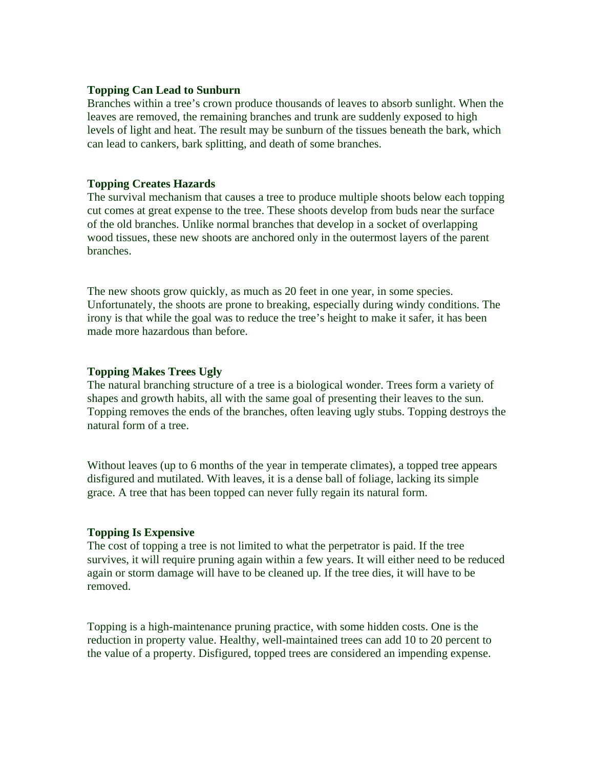## **Topping Can Lead to Sunburn**

Branches within a tree's crown produce thousands of leaves to absorb sunlight. When the leaves are removed, the remaining branches and trunk are suddenly exposed to high levels of light and heat. The result may be sunburn of the tissues beneath the bark, which can lead to cankers, bark splitting, and death of some branches.

## **Topping Creates Hazards**

The survival mechanism that causes a tree to produce multiple shoots below each topping cut comes at great expense to the tree. These shoots develop from buds near the surface of the old branches. Unlike normal branches that develop in a socket of overlapping wood tissues, these new shoots are anchored only in the outermost layers of the parent branches.

The new shoots grow quickly, as much as 20 feet in one year, in some species. Unfortunately, the shoots are prone to breaking, especially during windy conditions. The irony is that while the goal was to reduce the tree's height to make it safer, it has been made more hazardous than before.

## **Topping Makes Trees Ugly**

The natural branching structure of a tree is a biological wonder. Trees form a variety of shapes and growth habits, all with the same goal of presenting their leaves to the sun. Topping removes the ends of the branches, often leaving ugly stubs. Topping destroys the natural form of a tree.

Without leaves (up to 6 months of the year in temperate climates), a topped tree appears disfigured and mutilated. With leaves, it is a dense ball of foliage, lacking its simple grace. A tree that has been topped can never fully regain its natural form.

#### **Topping Is Expensive**

The cost of topping a tree is not limited to what the perpetrator is paid. If the tree survives, it will require pruning again within a few years. It will either need to be reduced again or storm damage will have to be cleaned up. If the tree dies, it will have to be removed.

Topping is a high-maintenance pruning practice, with some hidden costs. One is the reduction in property value. Healthy, well-maintained trees can add 10 to 20 percent to the value of a property. Disfigured, topped trees are considered an impending expense.